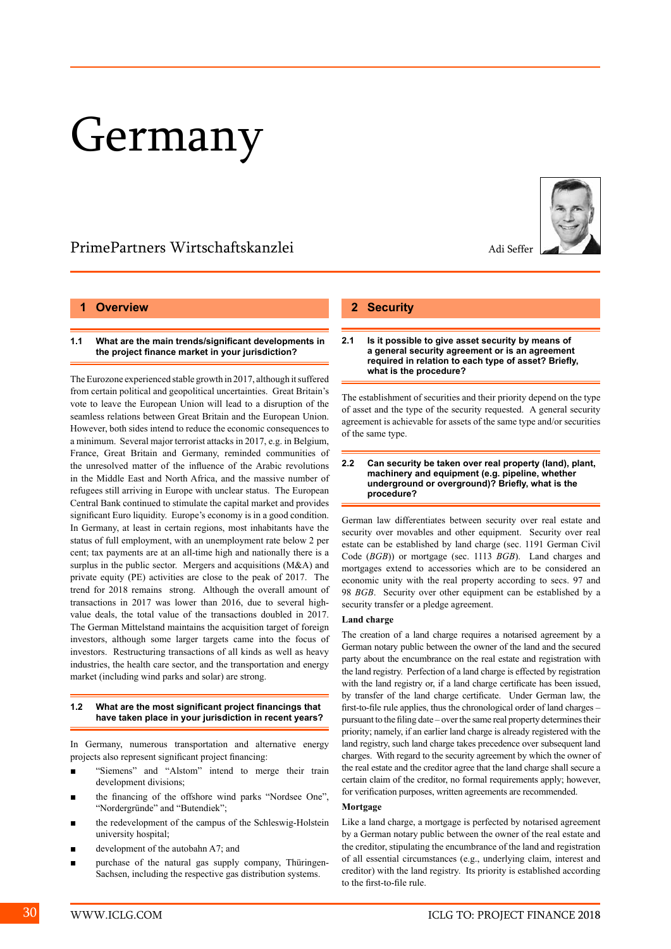# Germany

## PrimePartners Wirtschaftskanzlei Adi Seffer

#### **1 Overview**

#### **1.1 What are the main trends/significant developments in the project finance market in your jurisdiction?**

The Eurozone experienced stable growth in 2017, although it suffered from certain political and geopolitical uncertainties. Great Britain's vote to leave the European Union will lead to a disruption of the seamless relations between Great Britain and the European Union. However, both sides intend to reduce the economic consequences to a minimum. Several major terrorist attacks in 2017, e.g. in Belgium, France, Great Britain and Germany, reminded communities of the unresolved matter of the influence of the Arabic revolutions in the Middle East and North Africa, and the massive number of refugees still arriving in Europe with unclear status. The European Central Bank continued to stimulate the capital market and provides significant Euro liquidity. Europe's economy is in a good condition. In Germany, at least in certain regions, most inhabitants have the status of full employment, with an unemployment rate below 2 per cent; tax payments are at an all-time high and nationally there is a surplus in the public sector. Mergers and acquisitions (M&A) and private equity (PE) activities are close to the peak of 2017. The trend for 2018 remains strong. Although the overall amount of transactions in 2017 was lower than 2016, due to several highvalue deals, the total value of the transactions doubled in 2017. The German Mittelstand maintains the acquisition target of foreign investors, although some larger targets came into the focus of investors. Restructuring transactions of all kinds as well as heavy industries, the health care sector, and the transportation and energy market (including wind parks and solar) are strong.

#### **1.2 What are the most significant project financings that have taken place in your jurisdiction in recent years?**

In Germany, numerous transportation and alternative energy projects also represent significant project financing:

- "Siemens" and "Alstom" intend to merge their train development divisions;
- the financing of the offshore wind parks "Nordsee One", "Nordergründe" and "Butendiek";
- the redevelopment of the campus of the Schleswig-Holstein university hospital;
- development of the autobahn A7; and
- purchase of the natural gas supply company, Thüringen-Sachsen, including the respective gas distribution systems.

## **2 Security**

**2.1 Is it possible to give asset security by means of a general security agreement or is an agreement required in relation to each type of asset? Briefly, what is the procedure?**

The establishment of securities and their priority depend on the type of asset and the type of the security requested. A general security agreement is achievable for assets of the same type and/or securities of the same type.

#### **2.2 Can security be taken over real property (land), plant, machinery and equipment (e.g. pipeline, whether underground or overground)? Briefly, what is the procedure?**

German law differentiates between security over real estate and security over movables and other equipment. Security over real estate can be established by land charge (sec. 1191 German Civil Code (*BGB*)) or mortgage (sec. 1113 *BGB*). Land charges and mortgages extend to accessories which are to be considered an economic unity with the real property according to secs. 97 and 98 *BGB*. Security over other equipment can be established by a security transfer or a pledge agreement.

#### **Land charge**

The creation of a land charge requires a notarised agreement by a German notary public between the owner of the land and the secured party about the encumbrance on the real estate and registration with the land registry. Perfection of a land charge is effected by registration with the land registry or, if a land charge certificate has been issued, by transfer of the land charge certificate. Under German law, the first-to-file rule applies, thus the chronological order of land charges – pursuant to the filing date – over the same real property determines their priority; namely, if an earlier land charge is already registered with the land registry, such land charge takes precedence over subsequent land charges. With regard to the security agreement by which the owner of the real estate and the creditor agree that the land charge shall secure a certain claim of the creditor, no formal requirements apply; however, for verification purposes, written agreements are recommended.

#### **Mortgage**

Like a land charge, a mortgage is perfected by notarised agreement by a German notary public between the owner of the real estate and the creditor, stipulating the encumbrance of the land and registration of all essential circumstances (e.g., underlying claim, interest and creditor) with the land registry. Its priority is established according to the first-to-file rule.

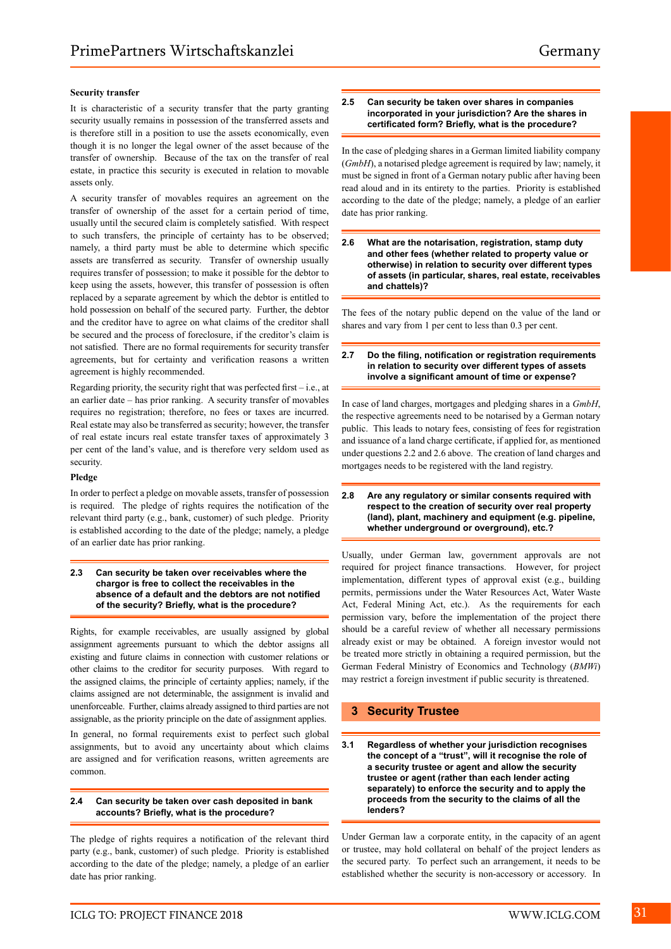#### **Security transfer**

It is characteristic of a security transfer that the party granting security usually remains in possession of the transferred assets and is therefore still in a position to use the assets economically, even though it is no longer the legal owner of the asset because of the transfer of ownership. Because of the tax on the transfer of real estate, in practice this security is executed in relation to movable assets only.

A security transfer of movables requires an agreement on the transfer of ownership of the asset for a certain period of time, usually until the secured claim is completely satisfied. With respect to such transfers, the principle of certainty has to be observed; namely, a third party must be able to determine which specific assets are transferred as security. Transfer of ownership usually requires transfer of possession; to make it possible for the debtor to keep using the assets, however, this transfer of possession is often replaced by a separate agreement by which the debtor is entitled to hold possession on behalf of the secured party. Further, the debtor and the creditor have to agree on what claims of the creditor shall be secured and the process of foreclosure, if the creditor's claim is not satisfied. There are no formal requirements for security transfer agreements, but for certainty and verification reasons a written agreement is highly recommended.

Regarding priority, the security right that was perfected first – i.e., at an earlier date – has prior ranking. A security transfer of movables requires no registration; therefore, no fees or taxes are incurred. Real estate may also be transferred as security; however, the transfer of real estate incurs real estate transfer taxes of approximately 3 per cent of the land's value, and is therefore very seldom used as security.

#### **Pledge**

In order to perfect a pledge on movable assets, transfer of possession is required. The pledge of rights requires the notification of the relevant third party (e.g., bank, customer) of such pledge. Priority is established according to the date of the pledge; namely, a pledge of an earlier date has prior ranking.

#### **2.3 Can security be taken over receivables where the chargor is free to collect the receivables in the absence of a default and the debtors are not notified of the security? Briefly, what is the procedure?**

Rights, for example receivables, are usually assigned by global assignment agreements pursuant to which the debtor assigns all existing and future claims in connection with customer relations or other claims to the creditor for security purposes. With regard to the assigned claims, the principle of certainty applies; namely, if the claims assigned are not determinable, the assignment is invalid and unenforceable. Further, claims already assigned to third parties are not assignable, as the priority principle on the date of assignment applies.

In general, no formal requirements exist to perfect such global assignments, but to avoid any uncertainty about which claims are assigned and for verification reasons, written agreements are common.

#### **2.4 Can security be taken over cash deposited in bank accounts? Briefly, what is the procedure?**

The pledge of rights requires a notification of the relevant third party (e.g., bank, customer) of such pledge. Priority is established according to the date of the pledge; namely, a pledge of an earlier date has prior ranking.

#### **2.5 Can security be taken over shares in companies incorporated in your jurisdiction? Are the shares in certificated form? Briefly, what is the procedure?**

In the case of pledging shares in a German limited liability company (*GmbH*), a notarised pledge agreement is required by law; namely, it must be signed in front of a German notary public after having been read aloud and in its entirety to the parties. Priority is established according to the date of the pledge; namely, a pledge of an earlier date has prior ranking.

**2.6 What are the notarisation, registration, stamp duty and other fees (whether related to property value or otherwise) in relation to security over different types of assets (in particular, shares, real estate, receivables and chattels)?**

The fees of the notary public depend on the value of the land or shares and vary from 1 per cent to less than 0.3 per cent.

#### **2.7 Do the filing, notification or registration requirements in relation to security over different types of assets involve a significant amount of time or expense?**

In case of land charges, mortgages and pledging shares in a *GmbH*, the respective agreements need to be notarised by a German notary public. This leads to notary fees, consisting of fees for registration and issuance of a land charge certificate, if applied for, as mentioned under questions 2.2 and 2.6 above. The creation of land charges and mortgages needs to be registered with the land registry.

#### **2.8 Are any regulatory or similar consents required with respect to the creation of security over real property (land), plant, machinery and equipment (e.g. pipeline, whether underground or overground), etc.?**

Usually, under German law, government approvals are not required for project finance transactions. However, for project implementation, different types of approval exist (e.g., building permits, permissions under the Water Resources Act, Water Waste Act, Federal Mining Act, etc.). As the requirements for each permission vary, before the implementation of the project there should be a careful review of whether all necessary permissions already exist or may be obtained. A foreign investor would not be treated more strictly in obtaining a required permission, but the German Federal Ministry of Economics and Technology (*BMWi*) may restrict a foreign investment if public security is threatened.

## **3 Security Trustee**

**3.1 Regardless of whether your jurisdiction recognises the concept of a "trust", will it recognise the role of a security trustee or agent and allow the security trustee or agent (rather than each lender acting separately) to enforce the security and to apply the proceeds from the security to the claims of all the lenders?**

Under German law a corporate entity, in the capacity of an agent or trustee, may hold collateral on behalf of the project lenders as the secured party. To perfect such an arrangement, it needs to be established whether the security is non-accessory or accessory. In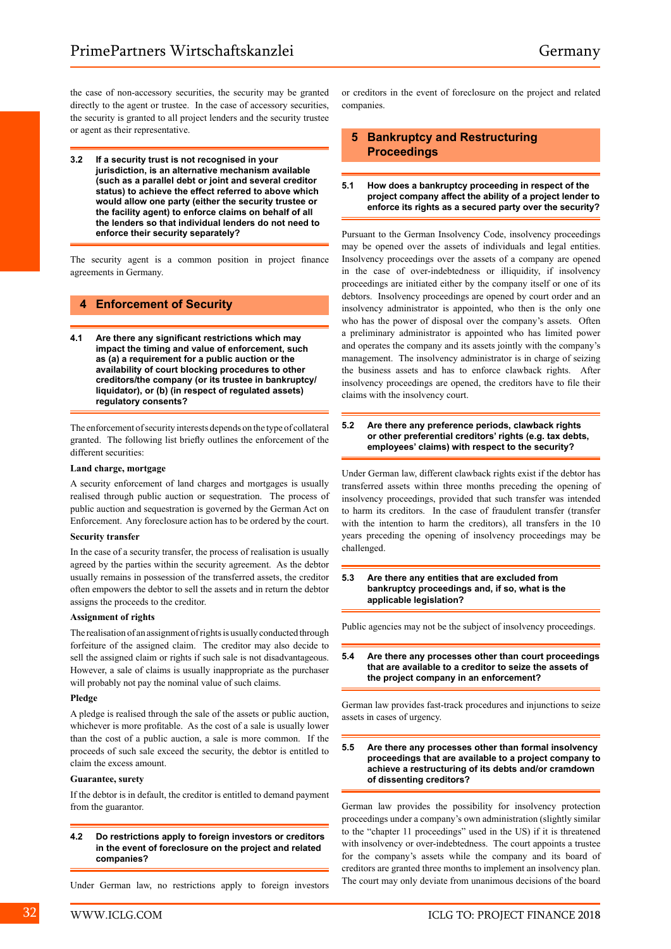the case of non-accessory securities, the security may be granted directly to the agent or trustee. In the case of accessory securities, the security is granted to all project lenders and the security trustee or agent as their representative.

**3.2 If a security trust is not recognised in your jurisdiction, is an alternative mechanism available (such as a parallel debt or joint and several creditor status) to achieve the effect referred to above which would allow one party (either the security trustee or the facility agent) to enforce claims on behalf of all the lenders so that individual lenders do not need to enforce their security separately?**

The security agent is a common position in project finance agreements in Germany.

## **4 Enforcement of Security**

**4.1 Are there any significant restrictions which may impact the timing and value of enforcement, such as (a) a requirement for a public auction or the availability of court blocking procedures to other creditors/the company (or its trustee in bankruptcy/ liquidator), or (b) (in respect of regulated assets) regulatory consents?**

The enforcement of security interests depends on the type of collateral granted. The following list briefly outlines the enforcement of the different securities:

#### **Land charge, mortgage**

A security enforcement of land charges and mortgages is usually realised through public auction or sequestration. The process of public auction and sequestration is governed by the German Act on Enforcement. Any foreclosure action has to be ordered by the court.

#### **Security transfer**

In the case of a security transfer, the process of realisation is usually agreed by the parties within the security agreement. As the debtor usually remains in possession of the transferred assets, the creditor often empowers the debtor to sell the assets and in return the debtor assigns the proceeds to the creditor.

#### **Assignment of rights**

The realisation of an assignment of rights is usually conducted through forfeiture of the assigned claim. The creditor may also decide to sell the assigned claim or rights if such sale is not disadvantageous. However, a sale of claims is usually inappropriate as the purchaser will probably not pay the nominal value of such claims.

#### **Pledge**

A pledge is realised through the sale of the assets or public auction, whichever is more profitable. As the cost of a sale is usually lower than the cost of a public auction, a sale is more common. If the proceeds of such sale exceed the security, the debtor is entitled to claim the excess amount.

#### **Guarantee, surety**

If the debtor is in default, the creditor is entitled to demand payment from the guarantor.

**4.2 Do restrictions apply to foreign investors or creditors in the event of foreclosure on the project and related companies?**

or creditors in the event of foreclosure on the project and related companies.

## **5 Bankruptcy and Restructuring Proceedings**

#### **5.1 How does a bankruptcy proceeding in respect of the project company affect the ability of a project lender to enforce its rights as a secured party over the security?**

Pursuant to the German Insolvency Code, insolvency proceedings may be opened over the assets of individuals and legal entities. Insolvency proceedings over the assets of a company are opened in the case of over-indebtedness or illiquidity, if insolvency proceedings are initiated either by the company itself or one of its debtors. Insolvency proceedings are opened by court order and an insolvency administrator is appointed, who then is the only one who has the power of disposal over the company's assets. Often a preliminary administrator is appointed who has limited power and operates the company and its assets jointly with the company's management. The insolvency administrator is in charge of seizing the business assets and has to enforce clawback rights. After insolvency proceedings are opened, the creditors have to file their claims with the insolvency court.

#### **5.2 Are there any preference periods, clawback rights or other preferential creditors' rights (e.g. tax debts, employees' claims) with respect to the security?**

Under German law, different clawback rights exist if the debtor has transferred assets within three months preceding the opening of insolvency proceedings, provided that such transfer was intended to harm its creditors. In the case of fraudulent transfer (transfer with the intention to harm the creditors), all transfers in the 10 years preceding the opening of insolvency proceedings may be challenged.

#### **5.3 Are there any entities that are excluded from bankruptcy proceedings and, if so, what is the applicable legislation?**

Public agencies may not be the subject of insolvency proceedings.

#### **5.4 Are there any processes other than court proceedings that are available to a creditor to seize the assets of the project company in an enforcement?**

German law provides fast-track procedures and injunctions to seize assets in cases of urgency.

#### **5.5 Are there any processes other than formal insolvency proceedings that are available to a project company to achieve a restructuring of its debts and/or cramdown of dissenting creditors?**

German law provides the possibility for insolvency protection proceedings under a company's own administration (slightly similar to the "chapter 11 proceedings" used in the US) if it is threatened with insolvency or over-indebtedness. The court appoints a trustee for the company's assets while the company and its board of creditors are granted three months to implement an insolvency plan. The court may only deviate from unanimous decisions of the board

Under German law, no restrictions apply to foreign investors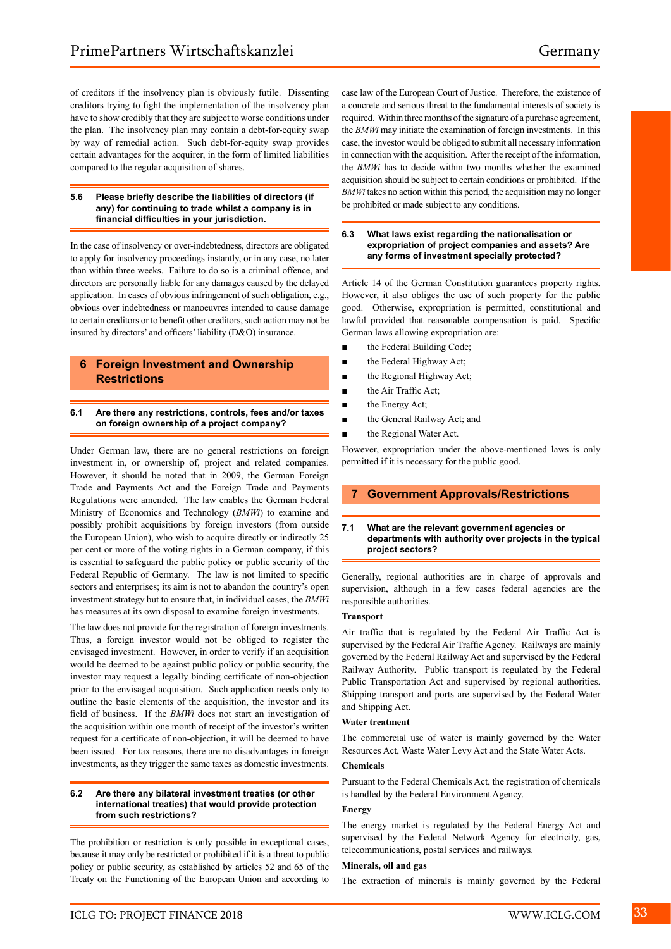of creditors if the insolvency plan is obviously futile. Dissenting creditors trying to fight the implementation of the insolvency plan have to show credibly that they are subject to worse conditions under the plan. The insolvency plan may contain a debt-for-equity swap by way of remedial action. Such debt-for-equity swap provides certain advantages for the acquirer, in the form of limited liabilities compared to the regular acquisition of shares.

#### **5.6 Please briefly describe the liabilities of directors (if any) for continuing to trade whilst a company is in financial difficulties in your jurisdiction.**

In the case of insolvency or over-indebtedness, directors are obligated to apply for insolvency proceedings instantly, or in any case, no later than within three weeks. Failure to do so is a criminal offence, and directors are personally liable for any damages caused by the delayed application. In cases of obvious infringement of such obligation, e.g., obvious over indebtedness or manoeuvres intended to cause damage to certain creditors or to benefit other creditors, such action may not be insured by directors' and officers' liability (D&O) insurance.

## **6 Foreign Investment and Ownership Restrictions**

#### **6.1 Are there any restrictions, controls, fees and/or taxes on foreign ownership of a project company?**

Under German law, there are no general restrictions on foreign investment in, or ownership of, project and related companies. However, it should be noted that in 2009, the German Foreign Trade and Payments Act and the Foreign Trade and Payments Regulations were amended. The law enables the German Federal Ministry of Economics and Technology (*BMWi*) to examine and possibly prohibit acquisitions by foreign investors (from outside the European Union), who wish to acquire directly or indirectly 25 per cent or more of the voting rights in a German company, if this is essential to safeguard the public policy or public security of the Federal Republic of Germany. The law is not limited to specific sectors and enterprises; its aim is not to abandon the country's open investment strategy but to ensure that, in individual cases, the *BMWi* has measures at its own disposal to examine foreign investments.

The law does not provide for the registration of foreign investments. Thus, a foreign investor would not be obliged to register the envisaged investment. However, in order to verify if an acquisition would be deemed to be against public policy or public security, the investor may request a legally binding certificate of non-objection prior to the envisaged acquisition. Such application needs only to outline the basic elements of the acquisition, the investor and its field of business. If the *BMWi* does not start an investigation of the acquisition within one month of receipt of the investor's written request for a certificate of non-objection, it will be deemed to have been issued. For tax reasons, there are no disadvantages in foreign investments, as they trigger the same taxes as domestic investments.

#### **6.2 Are there any bilateral investment treaties (or other international treaties) that would provide protection from such restrictions?**

The prohibition or restriction is only possible in exceptional cases, because it may only be restricted or prohibited if it is a threat to public policy or public security, as established by articles 52 and 65 of the Treaty on the Functioning of the European Union and according to case law of the European Court of Justice. Therefore, the existence of a concrete and serious threat to the fundamental interests of society is required. Within three months of the signature of a purchase agreement, the *BMWi* may initiate the examination of foreign investments. In this case, the investor would be obliged to submit all necessary information in connection with the acquisition. After the receipt of the information, the *BMWi* has to decide within two months whether the examined acquisition should be subject to certain conditions or prohibited. If the *BMWi* takes no action within this period, the acquisition may no longer be prohibited or made subject to any conditions.

#### **6.3 What laws exist regarding the nationalisation or expropriation of project companies and assets? Are any forms of investment specially protected?**

Article 14 of the German Constitution guarantees property rights. However, it also obliges the use of such property for the public good. Otherwise, expropriation is permitted, constitutional and lawful provided that reasonable compensation is paid. Specific German laws allowing expropriation are:

- the Federal Building Code;
- the Federal Highway Act;
- the Regional Highway Act;
- the Air Traffic Act;
- the Energy Act;
- the General Railway Act; and
- the Regional Water Act.

However, expropriation under the above-mentioned laws is only permitted if it is necessary for the public good.

## **7 Government Approvals/Restrictions**

#### **7.1 What are the relevant government agencies or departments with authority over projects in the typical project sectors?**

Generally, regional authorities are in charge of approvals and supervision, although in a few cases federal agencies are the responsible authorities.

#### **Transport**

Air traffic that is regulated by the Federal Air Traffic Act is supervised by the Federal Air Traffic Agency. Railways are mainly governed by the Federal Railway Act and supervised by the Federal Railway Authority. Public transport is regulated by the Federal Public Transportation Act and supervised by regional authorities. Shipping transport and ports are supervised by the Federal Water and Shipping Act.

#### **Water treatment**

The commercial use of water is mainly governed by the Water Resources Act, Waste Water Levy Act and the State Water Acts.

#### **Chemicals**

Pursuant to the Federal Chemicals Act, the registration of chemicals is handled by the Federal Environment Agency.

#### **Energy**

The energy market is regulated by the Federal Energy Act and supervised by the Federal Network Agency for electricity, gas, telecommunications, postal services and railways.

#### **Minerals, oil and gas**

The extraction of minerals is mainly governed by the Federal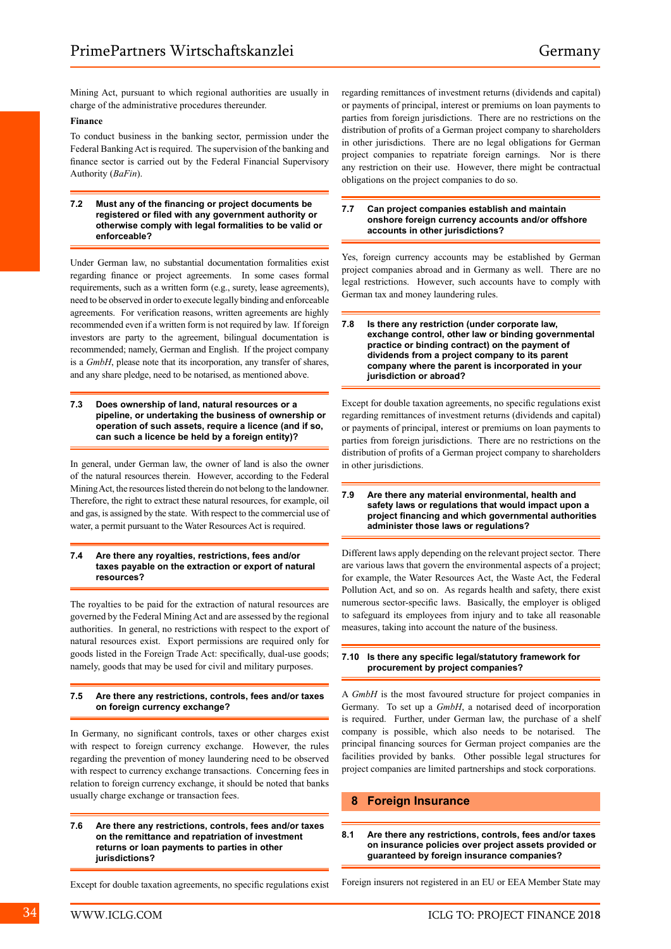Mining Act, pursuant to which regional authorities are usually in charge of the administrative procedures thereunder.

#### **Finance**

To conduct business in the banking sector, permission under the Federal Banking Act is required. The supervision of the banking and finance sector is carried out by the Federal Financial Supervisory Authority (*BaFin*).

#### **7.2 Must any of the financing or project documents be registered or filed with any government authority or otherwise comply with legal formalities to be valid or enforceable?**

Under German law, no substantial documentation formalities exist regarding finance or project agreements. In some cases formal requirements, such as a written form (e.g., surety, lease agreements), need to be observed in order to execute legally binding and enforceable agreements. For verification reasons, written agreements are highly recommended even if a written form is not required by law. If foreign investors are party to the agreement, bilingual documentation is recommended; namely, German and English. If the project company is a *GmbH*, please note that its incorporation, any transfer of shares, and any share pledge, need to be notarised, as mentioned above.

#### **7.3 Does ownership of land, natural resources or a pipeline, or undertaking the business of ownership or operation of such assets, require a licence (and if so, can such a licence be held by a foreign entity)?**

In general, under German law, the owner of land is also the owner of the natural resources therein. However, according to the Federal Mining Act, the resources listed therein do not belong to the landowner. Therefore, the right to extract these natural resources, for example, oil and gas, is assigned by the state. With respect to the commercial use of water, a permit pursuant to the Water Resources Act is required.

#### **7.4 Are there any royalties, restrictions, fees and/or taxes payable on the extraction or export of natural resources?**

The royalties to be paid for the extraction of natural resources are governed by the Federal Mining Act and are assessed by the regional authorities. In general, no restrictions with respect to the export of natural resources exist. Export permissions are required only for goods listed in the Foreign Trade Act: specifically, dual-use goods; namely, goods that may be used for civil and military purposes.

#### **7.5 Are there any restrictions, controls, fees and/or taxes on foreign currency exchange?**

In Germany, no significant controls, taxes or other charges exist with respect to foreign currency exchange. However, the rules regarding the prevention of money laundering need to be observed with respect to currency exchange transactions. Concerning fees in relation to foreign currency exchange, it should be noted that banks usually charge exchange or transaction fees.

**7.6 Are there any restrictions, controls, fees and/or taxes on the remittance and repatriation of investment returns or loan payments to parties in other jurisdictions?**

Except for double taxation agreements, no specific regulations exist

regarding remittances of investment returns (dividends and capital) or payments of principal, interest or premiums on loan payments to parties from foreign jurisdictions. There are no restrictions on the distribution of profits of a German project company to shareholders in other jurisdictions. There are no legal obligations for German project companies to repatriate foreign earnings. Nor is there any restriction on their use. However, there might be contractual obligations on the project companies to do so.

#### **7.7 Can project companies establish and maintain onshore foreign currency accounts and/or offshore accounts in other jurisdictions?**

Yes, foreign currency accounts may be established by German project companies abroad and in Germany as well. There are no legal restrictions. However, such accounts have to comply with German tax and money laundering rules.

| 7.8 | Is there any restriction (under corporate law,      |
|-----|-----------------------------------------------------|
|     | exchange control, other law or binding governmental |
|     | practice or binding contract) on the payment of     |
|     | dividends from a project company to its parent      |
|     | company where the parent is incorporated in your    |
|     | jurisdiction or abroad?                             |

Except for double taxation agreements, no specific regulations exist regarding remittances of investment returns (dividends and capital) or payments of principal, interest or premiums on loan payments to parties from foreign jurisdictions. There are no restrictions on the distribution of profits of a German project company to shareholders in other jurisdictions.

#### **7.9 Are there any material environmental, health and safety laws or regulations that would impact upon a project financing and which governmental authorities administer those laws or regulations?**

Different laws apply depending on the relevant project sector. There are various laws that govern the environmental aspects of a project; for example, the Water Resources Act, the Waste Act, the Federal Pollution Act, and so on. As regards health and safety, there exist numerous sector-specific laws. Basically, the employer is obliged to safeguard its employees from injury and to take all reasonable measures, taking into account the nature of the business.

#### **7.10 Is there any specific legal/statutory framework for procurement by project companies?**

A *GmbH* is the most favoured structure for project companies in Germany. To set up a *GmbH*, a notarised deed of incorporation is required. Further, under German law, the purchase of a shelf company is possible, which also needs to be notarised. The principal financing sources for German project companies are the facilities provided by banks. Other possible legal structures for project companies are limited partnerships and stock corporations.

## **8 Foreign Insurance**

#### **8.1 Are there any restrictions, controls, fees and/or taxes on insurance policies over project assets provided or guaranteed by foreign insurance companies?**

Foreign insurers not registered in an EU or EEA Member State may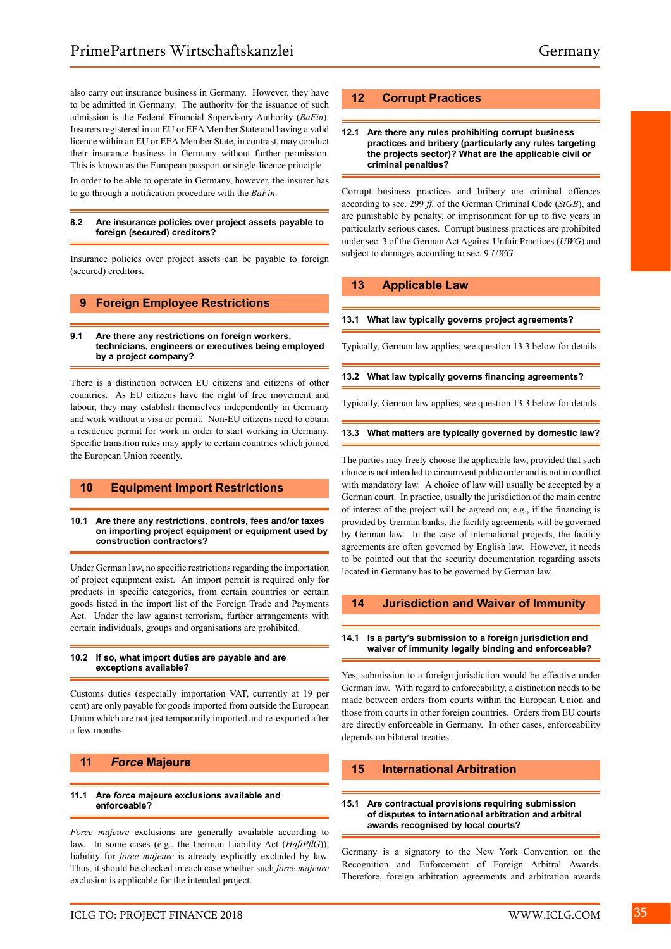also carry out insurance business in Germany. However, they have to be admitted in Germany. The authority for the issuance of such admission is the Federal Financial Supervisory Authority (*BaFin*). Insurers registered in an EU or EEA Member State and having a valid licence within an EU or EEA Member State, in contrast, may conduct their insurance business in Germany without further permission. This is known as the European passport or single-licence principle.

In order to be able to operate in Germany, however, the insurer has to go through a notification procedure with the *BaFin*.

#### **8.2 Are insurance policies over project assets payable to foreign (secured) creditors?**

Insurance policies over project assets can be payable to foreign (secured) creditors.

## **9 Foreign Employee Restrictions**

#### **9.1 Are there any restrictions on foreign workers, technicians, engineers or executives being employed by a project company?**

There is a distinction between EU citizens and citizens of other countries. As EU citizens have the right of free movement and labour, they may establish themselves independently in Germany and work without a visa or permit. Non-EU citizens need to obtain a residence permit for work in order to start working in Germany. Specific transition rules may apply to certain countries which joined the European Union recently.

## **10 Equipment Import Restrictions**

#### **10.1 Are there any restrictions, controls, fees and/or taxes on importing project equipment or equipment used by construction contractors?**

Under German law, no specific restrictions regarding the importation of project equipment exist. An import permit is required only for products in specific categories, from certain countries or certain goods listed in the import list of the Foreign Trade and Payments Act. Under the law against terrorism, further arrangements with certain individuals, groups and organisations are prohibited.

#### **10.2 If so, what import duties are payable and are exceptions available?**

Customs duties (especially importation VAT, currently at 19 per cent) are only payable for goods imported from outside the European Union which are not just temporarily imported and re-exported after a few months.

## **11** *Force* **Majeure**

#### **11.1 Are** *force* **majeure exclusions available and enforceable?**

*Force majeure* exclusions are generally available according to law. In some cases (e.g., the German Liability Act (*HaftPflG*)), liability for *force majeure* is already explicitly excluded by law. Thus, it should be checked in each case whether such *force majeure*  exclusion is applicable for the intended project.

## **12 Corrupt Practices**

#### **12.1 Are there any rules prohibiting corrupt business practices and bribery (particularly any rules targeting the projects sector)? What are the applicable civil or criminal penalties?**

Corrupt business practices and bribery are criminal offences according to sec. 299 *ff.* of the German Criminal Code (*StGB*), and are punishable by penalty, or imprisonment for up to five years in particularly serious cases. Corrupt business practices are prohibited under sec. 3 of the German Act Against Unfair Practices (*UWG*) and subject to damages according to sec. 9 *UWG*.

## **13 Applicable Law**

#### **13.1 What law typically governs project agreements?**

Typically, German law applies; see question 13.3 below for details.

#### **13.2 What law typically governs financing agreements?**

Typically, German law applies; see question 13.3 below for details.

#### **13.3 What matters are typically governed by domestic law?**

The parties may freely choose the applicable law, provided that such choice is not intended to circumvent public order and is not in conflict with mandatory law. A choice of law will usually be accepted by a German court. In practice, usually the jurisdiction of the main centre of interest of the project will be agreed on; e.g., if the financing is provided by German banks, the facility agreements will be governed by German law. In the case of international projects, the facility agreements are often governed by English law. However, it needs to be pointed out that the security documentation regarding assets located in Germany has to be governed by German law.

## **14 Jurisdiction and Waiver of Immunity**

#### **14.1 Is a party's submission to a foreign jurisdiction and waiver of immunity legally binding and enforceable?**

Yes, submission to a foreign jurisdiction would be effective under German law. With regard to enforceability, a distinction needs to be made between orders from courts within the European Union and those from courts in other foreign countries. Orders from EU courts are directly enforceable in Germany. In other cases, enforceability depends on bilateral treaties.

## **15 International Arbitration**

#### **15.1 Are contractual provisions requiring submission of disputes to international arbitration and arbitral awards recognised by local courts?**

Germany is a signatory to the New York Convention on the Recognition and Enforcement of Foreign Arbitral Awards. Therefore, foreign arbitration agreements and arbitration awards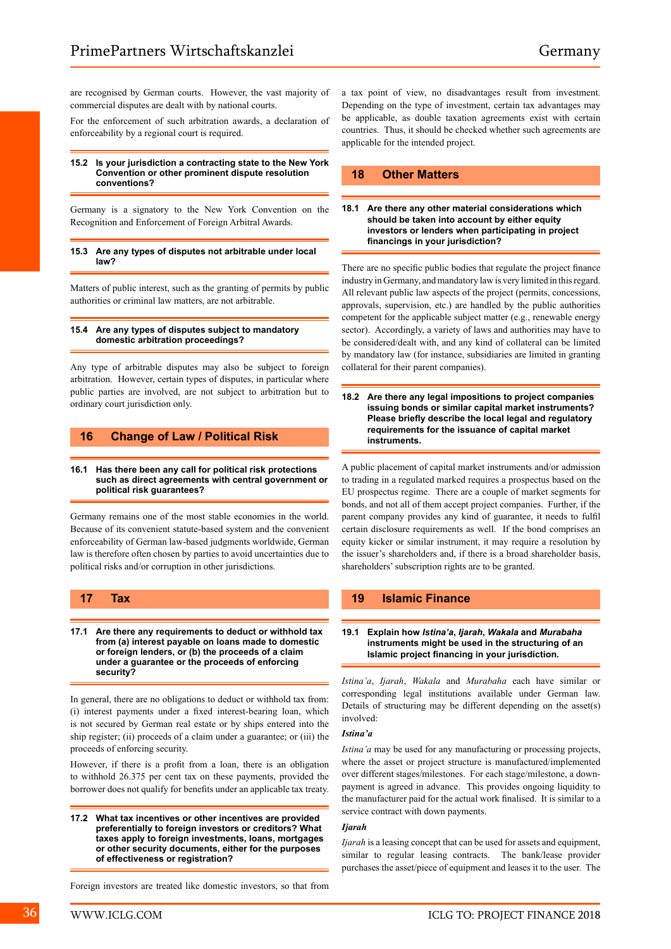are recognised by German courts. However, the vast majority of commercial disputes are dealt with by national courts.

For the enforcement of such arbitration awards, a declaration of enforceability by a regional court is required.

#### **15.2 Is your jurisdiction a contracting state to the New York Convention or other prominent dispute resolution conventions?**

Germany is a signatory to the New York Convention on the Recognition and Enforcement of Foreign Arbitral Awards.

#### **15.3 Are any types of disputes not arbitrable under local law?**

Matters of public interest, such as the granting of permits by public authorities or criminal law matters, are not arbitrable.

#### **15.4 Are any types of disputes subject to mandatory domestic arbitration proceedings?**

Any type of arbitrable disputes may also be subject to foreign arbitration. However, certain types of disputes, in particular where public parties are involved, are not subject to arbitration but to ordinary court jurisdiction only.

## **16 Change of Law / Political Risk**

#### **16.1 Has there been any call for political risk protections such as direct agreements with central government or political risk guarantees?**

Germany remains one of the most stable economies in the world. Because of its convenient statute-based system and the convenient enforceability of German law-based judgments worldwide, German law is therefore often chosen by parties to avoid uncertainties due to political risks and/or corruption in other jurisdictions.

## **17 Tax**

**17.1 Are there any requirements to deduct or withhold tax from (a) interest payable on loans made to domestic or foreign lenders, or (b) the proceeds of a claim under a guarantee or the proceeds of enforcing security?**

In general, there are no obligations to deduct or withhold tax from: (i) interest payments under a fixed interest-bearing loan, which is not secured by German real estate or by ships entered into the ship register; (ii) proceeds of a claim under a guarantee; or (iii) the proceeds of enforcing security.

However, if there is a profit from a loan, there is an obligation to withhold 26.375 per cent tax on these payments, provided the borrower does not qualify for benefits under an applicable tax treaty.

**17.2 What tax incentives or other incentives are provided preferentially to foreign investors or creditors? What taxes apply to foreign investments, loans, mortgages or other security documents, either for the purposes of effectiveness or registration?**

a tax point of view, no disadvantages result from investment. Depending on the type of investment, certain tax advantages may be applicable, as double taxation agreements exist with certain countries. Thus, it should be checked whether such agreements are applicable for the intended project.

## **18 Other Matters**

#### **18.1 Are there any other material considerations which should be taken into account by either equity investors or lenders when participating in project financings in your jurisdiction?**

There are no specific public bodies that regulate the project finance industry in Germany, and mandatory law is very limited in this regard. All relevant public law aspects of the project (permits, concessions, approvals, supervision, etc.) are handled by the public authorities competent for the applicable subject matter (e.g., renewable energy sector). Accordingly, a variety of laws and authorities may have to be considered/dealt with, and any kind of collateral can be limited by mandatory law (for instance, subsidiaries are limited in granting collateral for their parent companies).

**18.2 Are there any legal impositions to project companies issuing bonds or similar capital market instruments? Please briefly describe the local legal and regulatory requirements for the issuance of capital market instruments.**

A public placement of capital market instruments and/or admission to trading in a regulated marked requires a prospectus based on the EU prospectus regime. There are a couple of market segments for bonds, and not all of them accept project companies. Further, if the parent company provides any kind of guarantee, it needs to fulfil certain disclosure requirements as well. If the bond comprises an equity kicker or similar instrument, it may require a resolution by the issuer's shareholders and, if there is a broad shareholder basis, shareholders' subscription rights are to be granted.

## **19 Islamic Finance**

#### **19.1 Explain how** *Istina'a***,** *Ijarah***,** *Wakala* **and** *Murabaha* **instruments might be used in the structuring of an Islamic project financing in your jurisdiction.**

*Istina'a*, *Ijarah*, *Wakala* and *Murabaha* each have similar or corresponding legal institutions available under German law. Details of structuring may be different depending on the asset(s) involved:

### *Istina'a*

*Istina'a* may be used for any manufacturing or processing projects, where the asset or project structure is manufactured/implemented over different stages/milestones. For each stage/milestone, a downpayment is agreed in advance. This provides ongoing liquidity to the manufacturer paid for the actual work finalised. It is similar to a service contract with down payments.

#### *Ijarah*

*Ijarah* is a leasing concept that can be used for assets and equipment, similar to regular leasing contracts. The bank/lease provider purchases the asset/piece of equipment and leases it to the user. The

Foreign investors are treated like domestic investors, so that from